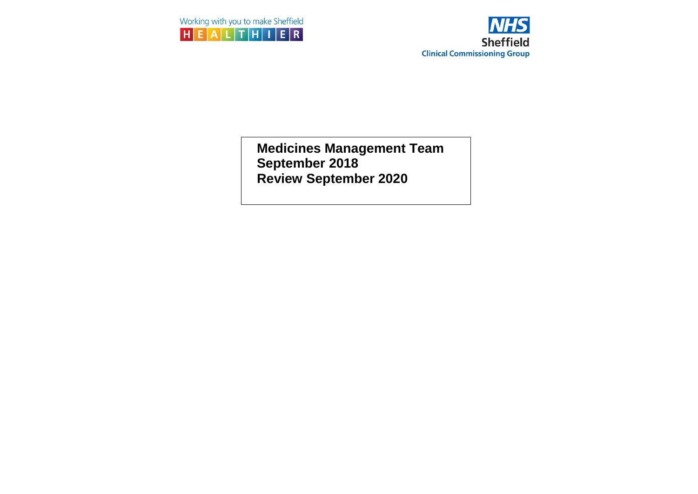



**Medicines Management Team September 2018 Review September 2020**